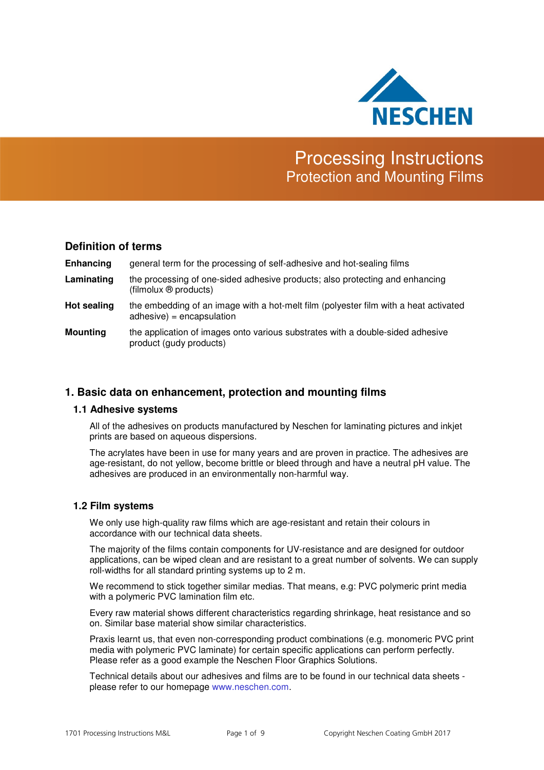

# Processing Instructions Protection and Mounting Films

# **Definition of terms**

| Enhancing       | general term for the processing of self-adhesive and hot-sealing films                                              |
|-----------------|---------------------------------------------------------------------------------------------------------------------|
| Laminating      | the processing of one-sided adhesive products; also protecting and enhancing<br>(filmolux ® products)               |
| Hot sealing     | the embedding of an image with a hot-melt film (polyester film with a heat activated<br>$adhesive) = encapsulation$ |
| <b>Mounting</b> | the application of images onto various substrates with a double-sided adhesive<br>product (gudy products)           |

# **1. Basic data on enhancement, protection and mounting films**

## **1.1 Adhesive systems**

All of the adhesives on products manufactured by Neschen for laminating pictures and inkjet prints are based on aqueous dispersions.

The acrylates have been in use for many years and are proven in practice. The adhesives are age-resistant, do not yellow, become brittle or bleed through and have a neutral pH value. The adhesives are produced in an environmentally non-harmful way.

## **1.2 Film systems**

We only use high-quality raw films which are age-resistant and retain their colours in accordance with our technical data sheets.

The majority of the films contain components for UV-resistance and are designed for outdoor applications, can be wiped clean and are resistant to a great number of solvents. We can supply roll-widths for all standard printing systems up to 2 m.

We recommend to stick together similar medias. That means, e.g: PVC polymeric print media with a polymeric PVC lamination film etc.

Every raw material shows different characteristics regarding shrinkage, heat resistance and so on. Similar base material show similar characteristics.

Praxis learnt us, that even non-corresponding product combinations (e.g. monomeric PVC print media with polymeric PVC laminate) for certain specific applications can perform perfectly. Please refer as a good example the Neschen Floor Graphics Solutions.

Technical details about our adhesives and films are to be found in our technical data sheets please refer to our homepage www.neschen.com.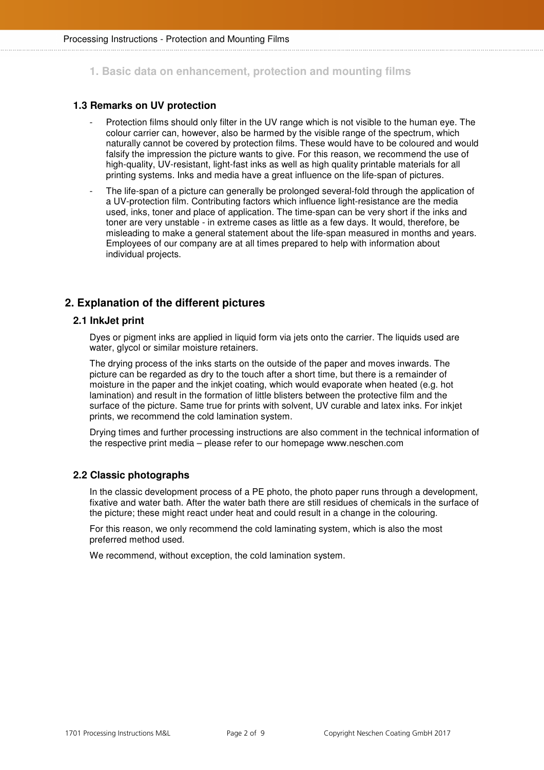**1. Basic data on enhancement, protection and mounting films**

## **1.3 Remarks on UV protection**

- Protection films should only filter in the UV range which is not visible to the human eye. The colour carrier can, however, also be harmed by the visible range of the spectrum, which naturally cannot be covered by protection films. These would have to be coloured and would falsify the impression the picture wants to give. For this reason, we recommend the use of high-quality, UV-resistant, light-fast inks as well as high quality printable materials for all printing systems. Inks and media have a great influence on the life-span of pictures.
- The life-span of a picture can generally be prolonged several-fold through the application of a UV-protection film. Contributing factors which influence light-resistance are the media used, inks, toner and place of application. The time-span can be very short if the inks and toner are very unstable - in extreme cases as little as a few days. It would, therefore, be misleading to make a general statement about the life-span measured in months and years. Employees of our company are at all times prepared to help with information about individual projects.

# **2. Explanation of the different pictures**

#### **2.1 InkJet print**

Dyes or pigment inks are applied in liquid form via jets onto the carrier. The liquids used are water, glycol or similar moisture retainers.

The drying process of the inks starts on the outside of the paper and moves inwards. The picture can be regarded as dry to the touch after a short time, but there is a remainder of moisture in the paper and the inkjet coating, which would evaporate when heated (e.g. hot lamination) and result in the formation of little blisters between the protective film and the surface of the picture. Same true for prints with solvent, UV curable and latex inks. For inkjet prints, we recommend the cold lamination system.

Drying times and further processing instructions are also comment in the technical information of the respective print media – please refer to our homepage www.neschen.com

## **2.2 Classic photographs**

In the classic development process of a PE photo, the photo paper runs through a development, fixative and water bath. After the water bath there are still residues of chemicals in the surface of the picture; these might react under heat and could result in a change in the colouring.

For this reason, we only recommend the cold laminating system, which is also the most preferred method used.

We recommend, without exception, the cold lamination system.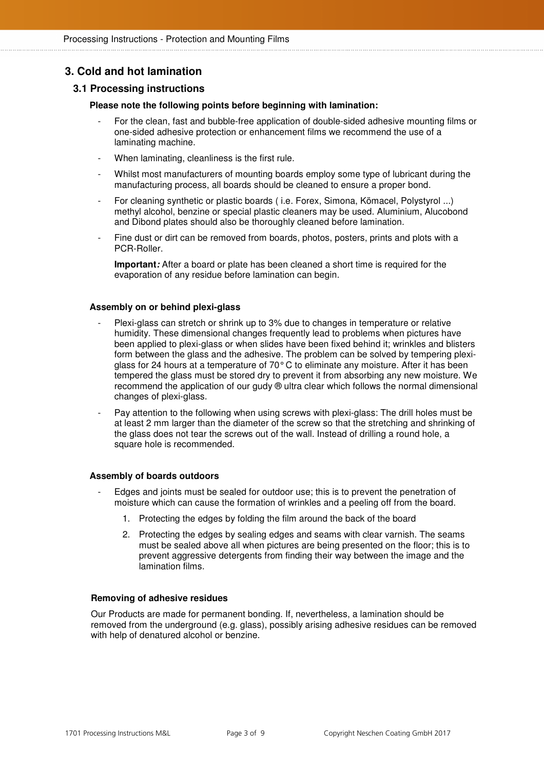# **3. Cold and hot lamination**

## **3.1 Processing instructions**

#### **Please note the following points before beginning with lamination:**

- For the clean, fast and bubble-free application of double-sided adhesive mounting films or one-sided adhesive protection or enhancement films we recommend the use of a laminating machine.
- When laminating, cleanliness is the first rule.
- Whilst most manufacturers of mounting boards employ some type of lubricant during the manufacturing process, all boards should be cleaned to ensure a proper bond.
- For cleaning synthetic or plastic boards (i.e. Forex, Simona, Kömacel, Polystyrol ...) methyl alcohol, benzine or special plastic cleaners may be used. Aluminium, Alucobond and Dibond plates should also be thoroughly cleaned before lamination.
- Fine dust or dirt can be removed from boards, photos, posters, prints and plots with a PCR-Roller.

**Important:** After a board or plate has been cleaned a short time is required for the evaporation of any residue before lamination can begin.

#### **Assembly on or behind plexi-glass**

- Plexi-glass can stretch or shrink up to 3% due to changes in temperature or relative humidity. These dimensional changes frequently lead to problems when pictures have been applied to plexi-glass or when slides have been fixed behind it; wrinkles and blisters form between the glass and the adhesive. The problem can be solved by tempering plexiglass for 24 hours at a temperature of 70° C to eliminate any moisture. After it has been tempered the glass must be stored dry to prevent it from absorbing any new moisture. We recommend the application of our gudy ® ultra clear which follows the normal dimensional changes of plexi-glass.
- Pay attention to the following when using screws with plexi-glass: The drill holes must be at least 2 mm larger than the diameter of the screw so that the stretching and shrinking of the glass does not tear the screws out of the wall. Instead of drilling a round hole, a square hole is recommended.

#### **Assembly of boards outdoors**

- Edges and joints must be sealed for outdoor use; this is to prevent the penetration of moisture which can cause the formation of wrinkles and a peeling off from the board.
	- 1. Protecting the edges by folding the film around the back of the board
	- 2. Protecting the edges by sealing edges and seams with clear varnish. The seams must be sealed above all when pictures are being presented on the floor; this is to prevent aggressive detergents from finding their way between the image and the lamination films.

#### **Removing of adhesive residues**

Our Products are made for permanent bonding. If, nevertheless, a lamination should be removed from the underground (e.g. glass), possibly arising adhesive residues can be removed with help of denatured alcohol or benzine.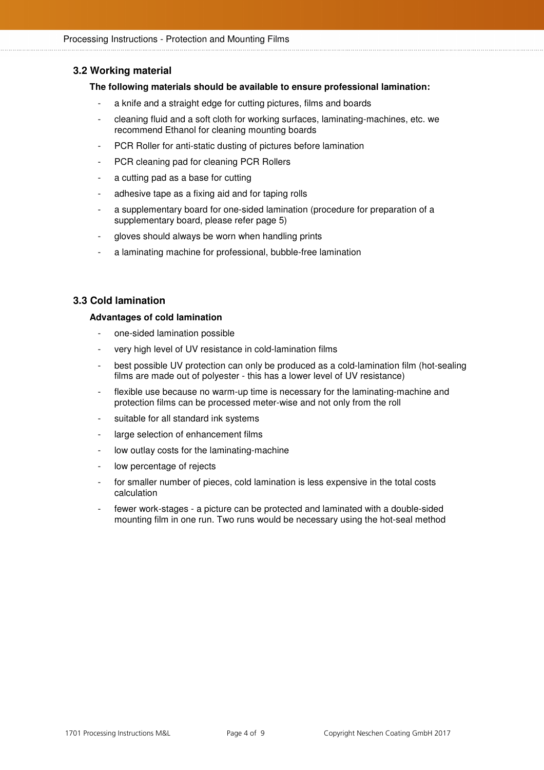## **3.2 Working material**

#### **The following materials should be available to ensure professional lamination:**

- a knife and a straight edge for cutting pictures, films and boards
- cleaning fluid and a soft cloth for working surfaces, laminating-machines, etc. we recommend Ethanol for cleaning mounting boards
- PCR Roller for anti-static dusting of pictures before lamination
- PCR cleaning pad for cleaning PCR Rollers
- a cutting pad as a base for cutting
- adhesive tape as a fixing aid and for taping rolls
- a supplementary board for one-sided lamination (procedure for preparation of a supplementary board, please refer page 5)
- gloves should always be worn when handling prints
- a laminating machine for professional, bubble-free lamination

## **3.3 Cold lamination**

#### **Advantages of cold lamination**

- one-sided lamination possible
- very high level of UV resistance in cold-lamination films
- best possible UV protection can only be produced as a cold-lamination film (hot-sealing films are made out of polyester - this has a lower level of UV resistance)
- flexible use because no warm-up time is necessary for the laminating-machine and protection films can be processed meter-wise and not only from the roll
- suitable for all standard ink systems
- large selection of enhancement films
- low outlay costs for the laminating-machine
- low percentage of rejects
- for smaller number of pieces, cold lamination is less expensive in the total costs calculation
- fewer work-stages a picture can be protected and laminated with a double-sided mounting film in one run. Two runs would be necessary using the hot-seal method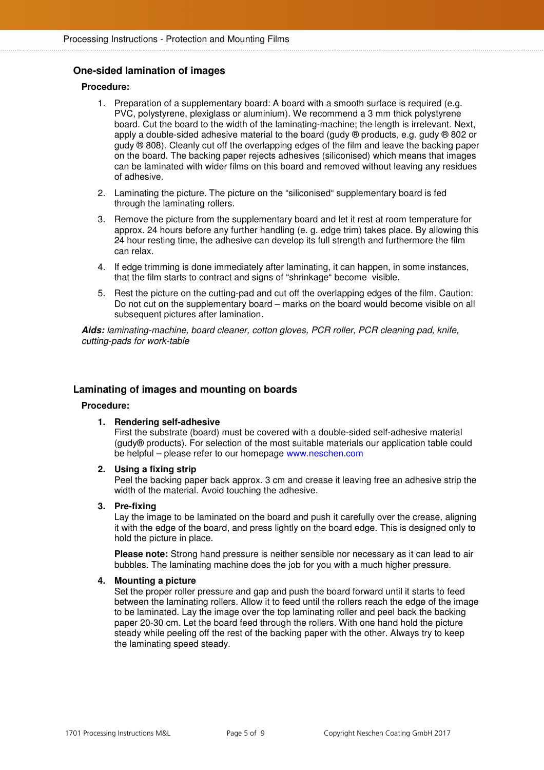## **One-sided lamination of images**

#### **Procedure:**

- 1. Preparation of a supplementary board: A board with a smooth surface is required (e.g. PVC, polystyrene, plexiglass or aluminium). We recommend a 3 mm thick polystyrene board. Cut the board to the width of the laminating-machine; the length is irrelevant. Next, apply a double-sided adhesive material to the board (gudy ® products, e.g. gudy ® 802 or gudy ® 808). Cleanly cut off the overlapping edges of the film and leave the backing paper on the board. The backing paper rejects adhesives (siliconised) which means that images can be laminated with wider films on this board and removed without leaving any residues of adhesive.
- 2. Laminating the picture. The picture on the "siliconised" supplementary board is fed through the laminating rollers.
- 3. Remove the picture from the supplementary board and let it rest at room temperature for approx. 24 hours before any further handling (e. g. edge trim) takes place. By allowing this 24 hour resting time, the adhesive can develop its full strength and furthermore the film can relax.
- 4. If edge trimming is done immediately after laminating, it can happen, in some instances, that the film starts to contract and signs of "shrinkage" become visible.
- 5. Rest the picture on the cutting-pad and cut off the overlapping edges of the film. Caution: Do not cut on the supplementary board – marks on the board would become visible on all subsequent pictures after lamination.

**Aids:** laminating-machine, board cleaner, cotton gloves, PCR roller, PCR cleaning pad, knife, cutting-pads for work-table

## **Laminating of images and mounting on boards**

#### **Procedure:**

#### **1. Rendering self-adhesive**

First the substrate (board) must be covered with a double-sided self-adhesive material (gudy® products). For selection of the most suitable materials our application table could be helpful – please refer to our homepage www.neschen.com

**2. Using a fixing strip** 

Peel the backing paper back approx. 3 cm and crease it leaving free an adhesive strip the width of the material. Avoid touching the adhesive.

#### **3. Pre-fixing**

Lay the image to be laminated on the board and push it carefully over the crease, aligning it with the edge of the board, and press lightly on the board edge. This is designed only to hold the picture in place.

**Please note:** Strong hand pressure is neither sensible nor necessary as it can lead to air bubbles. The laminating machine does the job for you with a much higher pressure.

#### **4. Mounting a picture**

Set the proper roller pressure and gap and push the board forward until it starts to feed between the laminating rollers. Allow it to feed until the rollers reach the edge of the image to be laminated. Lay the image over the top laminating roller and peel back the backing paper 20-30 cm. Let the board feed through the rollers. With one hand hold the picture steady while peeling off the rest of the backing paper with the other. Always try to keep the laminating speed steady.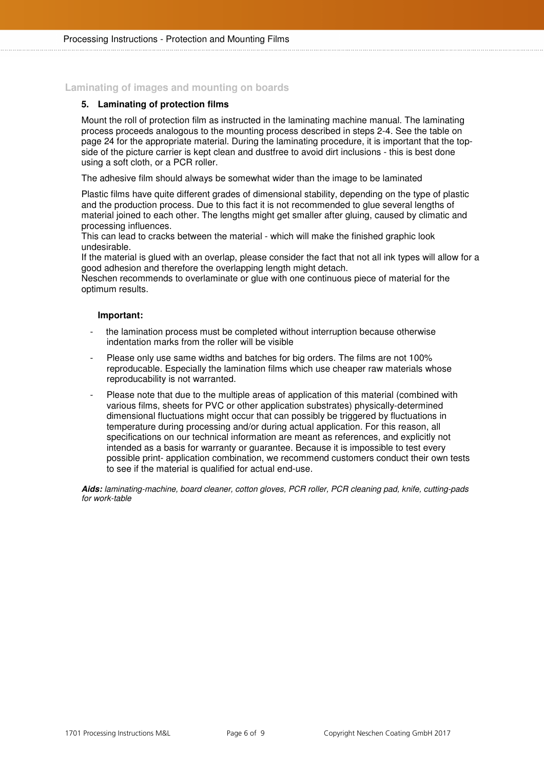## **Laminating of images and mounting on boards**

#### **5. Laminating of protection films**

Mount the roll of protection film as instructed in the laminating machine manual. The laminating process proceeds analogous to the mounting process described in steps 2-4. See the table on page 24 for the appropriate material. During the laminating procedure, it is important that the topside of the picture carrier is kept clean and dustfree to avoid dirt inclusions - this is best done using a soft cloth, or a PCR roller.

The adhesive film should always be somewhat wider than the image to be laminated

Plastic films have quite different grades of dimensional stability, depending on the type of plastic and the production process. Due to this fact it is not recommended to glue several lengths of material joined to each other. The lengths might get smaller after gluing, caused by climatic and processing influences.

This can lead to cracks between the material - which will make the finished graphic look undesirable.

If the material is glued with an overlap, please consider the fact that not all ink types will allow for a good adhesion and therefore the overlapping length might detach.

Neschen recommends to overlaminate or glue with one continuous piece of material for the optimum results.

#### **Important:**

- the lamination process must be completed without interruption because otherwise indentation marks from the roller will be visible
- Please only use same widths and batches for big orders. The films are not 100% reproducable. Especially the lamination films which use cheaper raw materials whose reproducability is not warranted.
- Please note that due to the multiple areas of application of this material (combined with various films, sheets for PVC or other application substrates) physically-determined dimensional fluctuations might occur that can possibly be triggered by fluctuations in temperature during processing and/or during actual application. For this reason, all specifications on our technical information are meant as references, and explicitly not intended as a basis for warranty or guarantee. Because it is impossible to test every possible print- application combination, we recommend customers conduct their own tests to see if the material is qualified for actual end-use.

**Aids:** laminating-machine, board cleaner, cotton gloves, PCR roller, PCR cleaning pad, knife, cutting-pads for work-table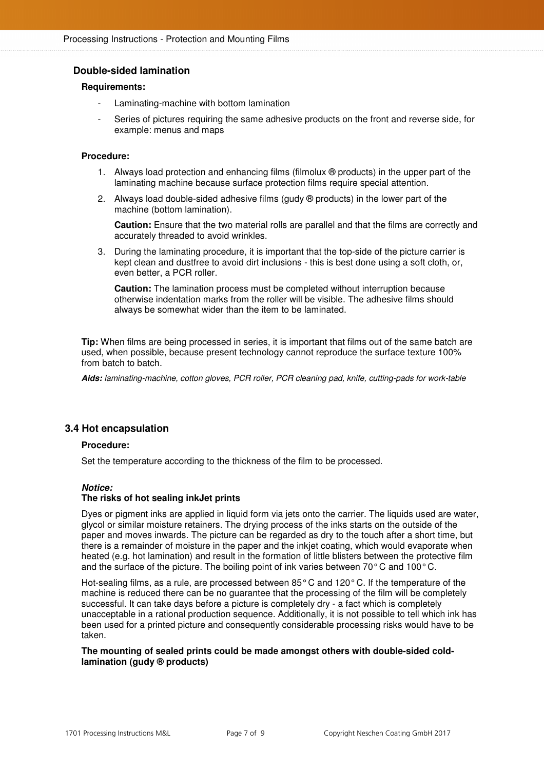## **Double-sided lamination**

#### **Requirements:**

- Laminating-machine with bottom lamination
- Series of pictures requiring the same adhesive products on the front and reverse side, for example: menus and maps

#### **Procedure:**

- 1. Always load protection and enhancing films (filmolux ® products) in the upper part of the laminating machine because surface protection films require special attention.
- 2. Always load double-sided adhesive films (gudy  $\oplus$  products) in the lower part of the machine (bottom lamination).

**Caution:** Ensure that the two material rolls are parallel and that the films are correctly and accurately threaded to avoid wrinkles.

3. During the laminating procedure, it is important that the top-side of the picture carrier is kept clean and dustfree to avoid dirt inclusions - this is best done using a soft cloth, or, even better, a PCR roller.

**Caution:** The lamination process must be completed without interruption because otherwise indentation marks from the roller will be visible. The adhesive films should always be somewhat wider than the item to be laminated.

**Tip:** When films are being processed in series, it is important that films out of the same batch are used, when possible, because present technology cannot reproduce the surface texture 100% from batch to batch.

**Aids:** laminating-machine, cotton gloves, PCR roller, PCR cleaning pad, knife, cutting-pads for work-table

#### **3.4 Hot encapsulation**

#### **Procedure:**

Set the temperature according to the thickness of the film to be processed.

#### **Notice:**

#### **The risks of hot sealing inkJet prints**

Dyes or pigment inks are applied in liquid form via jets onto the carrier. The liquids used are water, glycol or similar moisture retainers. The drying process of the inks starts on the outside of the paper and moves inwards. The picture can be regarded as dry to the touch after a short time, but there is a remainder of moisture in the paper and the inkjet coating, which would evaporate when heated (e.g. hot lamination) and result in the formation of little blisters between the protective film and the surface of the picture. The boiling point of ink varies between 70 $\degree$ C and 100 $\degree$ C.

Hot-sealing films, as a rule, are processed between 85° C and 120° C. If the temperature of the machine is reduced there can be no guarantee that the processing of the film will be completely successful. It can take days before a picture is completely dry - a fact which is completely unacceptable in a rational production sequence. Additionally, it is not possible to tell which ink has been used for a printed picture and consequently considerable processing risks would have to be taken.

#### **The mounting of sealed prints could be made amongst others with double-sided coldlamination (gudy ® products)**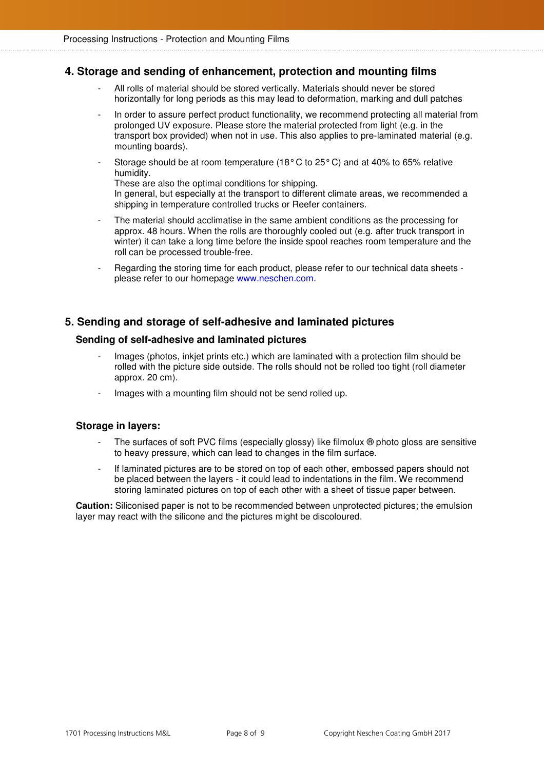## **4. Storage and sending of enhancement, protection and mounting films**

- All rolls of material should be stored vertically. Materials should never be stored horizontally for long periods as this may lead to deformation, marking and dull patches
- In order to assure perfect product functionality, we recommend protecting all material from prolonged UV exposure. Please store the material protected from light (e.g. in the transport box provided) when not in use. This also applies to pre-laminated material (e.g. mounting boards).
- Storage should be at room temperature (18 $^{\circ}$  C to 25 $^{\circ}$  C) and at 40% to 65% relative humidity.

These are also the optimal conditions for shipping.

In general, but especially at the transport to different climate areas, we recommended a shipping in temperature controlled trucks or Reefer containers.

- The material should acclimatise in the same ambient conditions as the processing for approx. 48 hours. When the rolls are thoroughly cooled out (e.g. after truck transport in winter) it can take a long time before the inside spool reaches room temperature and the roll can be processed trouble-free.
- Regarding the storing time for each product, please refer to our technical data sheets please refer to our homepage www.neschen.com.

## **5. Sending and storage of self-adhesive and laminated pictures**

## **Sending of self-adhesive and laminated pictures**

- Images (photos, inkiet prints etc.) which are laminated with a protection film should be rolled with the picture side outside. The rolls should not be rolled too tight (roll diameter approx. 20 cm).
- Images with a mounting film should not be send rolled up.

## **Storage in layers:**

- The surfaces of soft PVC films (especially glossy) like filmolux  $\Theta$  photo gloss are sensitive to heavy pressure, which can lead to changes in the film surface.
- If laminated pictures are to be stored on top of each other, embossed papers should not be placed between the layers - it could lead to indentations in the film. We recommend storing laminated pictures on top of each other with a sheet of tissue paper between.

 **Caution:** Siliconised paper is not to be recommended between unprotected pictures; the emulsion layer may react with the silicone and the pictures might be discoloured.